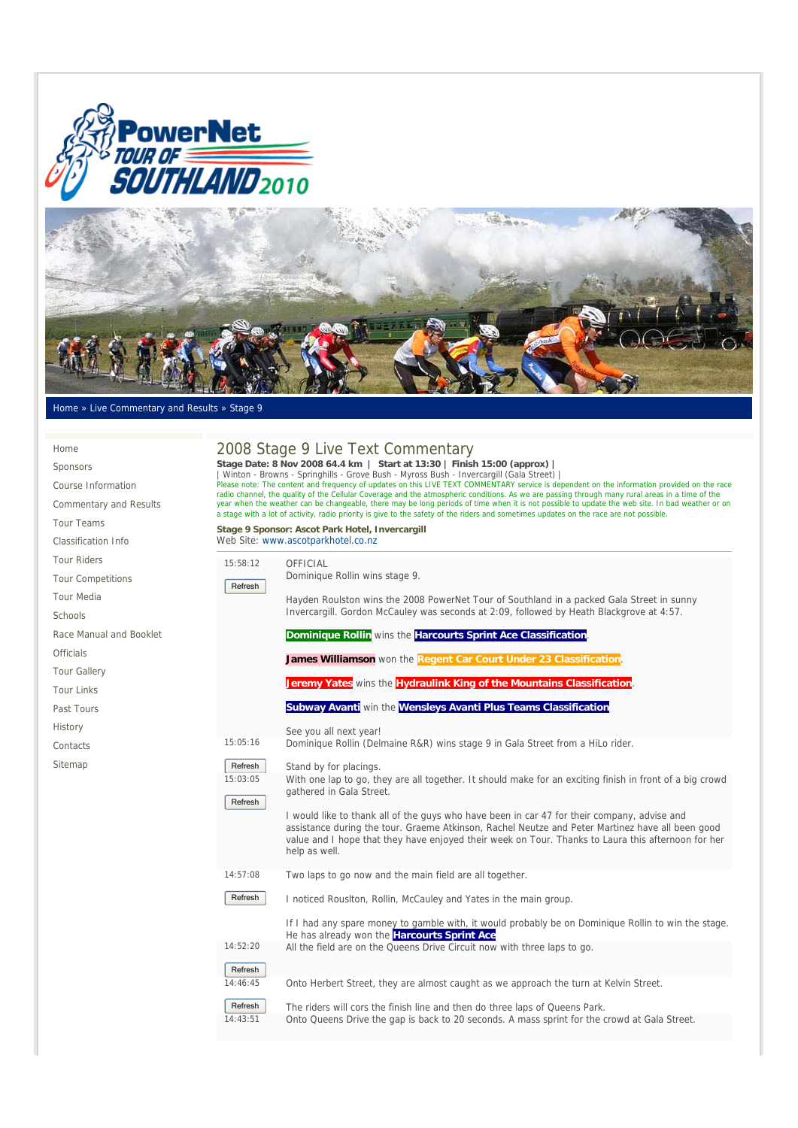



## Home » Live Commentary and Results » Stage 9

| Home                          | 2008 Stage 9 Live Text Commentary<br>Stage Date: 8 Nov 2008 64.4 km   Start at 13:30   Finish 15:00 (approx)  <br>Winton - Browns - Springhills - Grove Bush - Myross Bush - Invercargill (Gala Street)  <br>Please note: The content and frequency of updates on this LIVE TEXT COMMENTARY service is dependent on the information provided on the race<br>radio channel, the quality of the Cellular Coverage and the atmospheric conditions. As we are passing through many rural areas in a time of the |  |  |
|-------------------------------|-------------------------------------------------------------------------------------------------------------------------------------------------------------------------------------------------------------------------------------------------------------------------------------------------------------------------------------------------------------------------------------------------------------------------------------------------------------------------------------------------------------|--|--|
| Sponsors                      |                                                                                                                                                                                                                                                                                                                                                                                                                                                                                                             |  |  |
| Course Information            |                                                                                                                                                                                                                                                                                                                                                                                                                                                                                                             |  |  |
| <b>Commentary and Results</b> | year when the weather can be changeable, there may be long periods of time when it is not possible to update the web site. In bad weather or on<br>a stage with a lot of activity, radio priority is give to the safety of the riders and sometimes updates on the race are not possible.                                                                                                                                                                                                                   |  |  |
| Tour Teams                    | Stage 9 Sponsor: Ascot Park Hotel, Invercargill                                                                                                                                                                                                                                                                                                                                                                                                                                                             |  |  |
| Classification Info           | Web Site: www.ascotparkhotel.co.nz                                                                                                                                                                                                                                                                                                                                                                                                                                                                          |  |  |
| <b>Tour Riders</b>            | 15:58:12<br>OFFICIAL                                                                                                                                                                                                                                                                                                                                                                                                                                                                                        |  |  |
| <b>Tour Competitions</b>      | Dominique Rollin wins stage 9.<br>Refresh                                                                                                                                                                                                                                                                                                                                                                                                                                                                   |  |  |
| <b>Tour Media</b>             | Hayden Roulston wins the 2008 PowerNet Tour of Southland in a packed Gala Street in sunny                                                                                                                                                                                                                                                                                                                                                                                                                   |  |  |
| Schools                       | Invercargill. Gordon McCauley was seconds at 2:09, followed by Heath Blackgrove at 4:57.                                                                                                                                                                                                                                                                                                                                                                                                                    |  |  |
| Race Manual and Booklet       | Dominique Rollin wins the Harcourts Sprint Ace Classification.                                                                                                                                                                                                                                                                                                                                                                                                                                              |  |  |
| <b>Officials</b>              | James Williamson won the Regent Car Court Under 23 Classification.                                                                                                                                                                                                                                                                                                                                                                                                                                          |  |  |
| <b>Tour Gallery</b>           |                                                                                                                                                                                                                                                                                                                                                                                                                                                                                                             |  |  |
| <b>Tour Links</b>             | Jeremy Yates wins the Hydraulink King of the Mountains Classification.                                                                                                                                                                                                                                                                                                                                                                                                                                      |  |  |
| Past Tours                    | Subway Avanti win the Wensleys Avanti Plus Teams Classification                                                                                                                                                                                                                                                                                                                                                                                                                                             |  |  |
| History                       | See you all next year!                                                                                                                                                                                                                                                                                                                                                                                                                                                                                      |  |  |
| Contacts                      | 15:05:16<br>Dominique Rollin (Delmaine R&R) wins stage 9 in Gala Street from a HiLo rider.                                                                                                                                                                                                                                                                                                                                                                                                                  |  |  |
| Sitemap                       | Refresh<br>Stand by for placings.                                                                                                                                                                                                                                                                                                                                                                                                                                                                           |  |  |
|                               | 15:03:05<br>With one lap to go, they are all together. It should make for an exciting finish in front of a big crowd                                                                                                                                                                                                                                                                                                                                                                                        |  |  |
|                               | gathered in Gala Street.<br>Refresh                                                                                                                                                                                                                                                                                                                                                                                                                                                                         |  |  |
|                               | I would like to thank all of the guys who have been in car 47 for their company, advise and                                                                                                                                                                                                                                                                                                                                                                                                                 |  |  |
|                               | assistance during the tour. Graeme Atkinson, Rachel Neutze and Peter Martinez have all been good<br>value and I hope that they have enjoyed their week on Tour. Thanks to Laura this afternoon for her                                                                                                                                                                                                                                                                                                      |  |  |
|                               | help as well.                                                                                                                                                                                                                                                                                                                                                                                                                                                                                               |  |  |
|                               | 14:57:08<br>Two laps to go now and the main field are all together.                                                                                                                                                                                                                                                                                                                                                                                                                                         |  |  |
|                               | Refresh<br>I noticed Rousiton, Rollin, McCauley and Yates in the main group.                                                                                                                                                                                                                                                                                                                                                                                                                                |  |  |
|                               |                                                                                                                                                                                                                                                                                                                                                                                                                                                                                                             |  |  |
|                               | If I had any spare money to gamble with, it would probably be on Dominique Rollin to win the stage.<br>He has already won the Harcourts Sprint Ace                                                                                                                                                                                                                                                                                                                                                          |  |  |
|                               | 14:52:20<br>All the field are on the Queens Drive Circuit now with three laps to go.                                                                                                                                                                                                                                                                                                                                                                                                                        |  |  |
|                               | Refresh                                                                                                                                                                                                                                                                                                                                                                                                                                                                                                     |  |  |
|                               | 14:46:45<br>Onto Herbert Street, they are almost caught as we approach the turn at Kelvin Street.                                                                                                                                                                                                                                                                                                                                                                                                           |  |  |

Refresh The riders will cors the finish line and then do three laps of Queens Park. 14:43:51 Onto Queens Drive the gap is back to 20 seconds. A mass sprint for the crowd at Gala Street.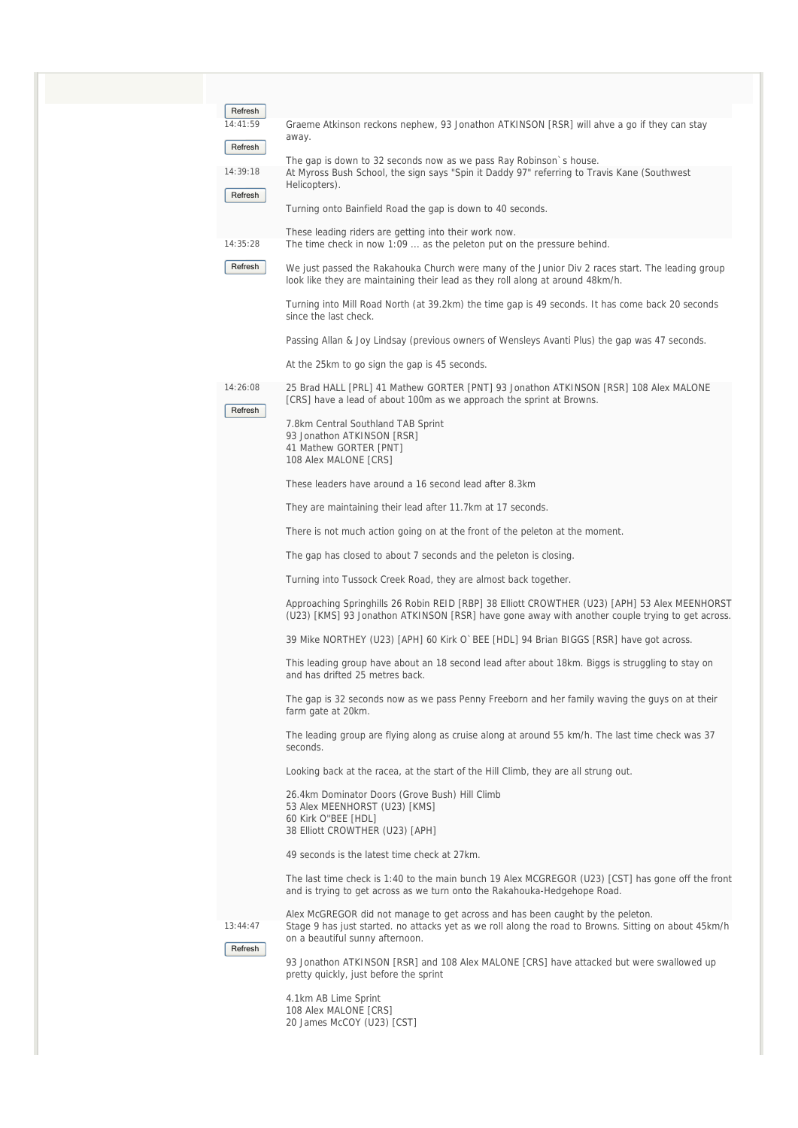| Refresh             |                                                                                                                                                                                                  |
|---------------------|--------------------------------------------------------------------------------------------------------------------------------------------------------------------------------------------------|
| 14:41:59<br>Refresh | Graeme Atkinson reckons nephew, 93 Jonathon ATKINSON [RSR] will ahve a go if they can stay<br>away.                                                                                              |
|                     | The gap is down to 32 seconds now as we pass Ray Robinson's house.                                                                                                                               |
| 14:39:18            | At Myross Bush School, the sign says "Spin it Daddy 97" referring to Travis Kane (Southwest<br>Helicopters).                                                                                     |
| Refresh             | Turning onto Bainfield Road the gap is down to 40 seconds.                                                                                                                                       |
|                     | These leading riders are getting into their work now.                                                                                                                                            |
| 14:35:28            | The time check in now 1:09  as the peleton put on the pressure behind.                                                                                                                           |
| Refresh             | We just passed the Rakahouka Church were many of the Junior Div 2 races start. The leading group<br>look like they are maintaining their lead as they roll along at around 48km/h.               |
|                     | Turning into Mill Road North (at 39.2km) the time gap is 49 seconds. It has come back 20 seconds<br>since the last check.                                                                        |
|                     | Passing Allan & Joy Lindsay (previous owners of Wensleys Avanti Plus) the gap was 47 seconds.                                                                                                    |
|                     | At the 25km to go sign the gap is 45 seconds.                                                                                                                                                    |
| 14:26:08            | 25 Brad HALL [PRL] 41 Mathew GORTER [PNT] 93 Jonathon ATKINSON [RSR] 108 Alex MALONE<br>[CRS] have a lead of about 100m as we approach the sprint at Browns.                                     |
| Refresh             | 7.8km Central Southland TAB Sprint                                                                                                                                                               |
|                     | 93 Jonathon ATKINSON [RSR]                                                                                                                                                                       |
|                     | 41 Mathew GORTER [PNT]<br>108 Alex MALONE [CRS]                                                                                                                                                  |
|                     | These leaders have around a 16 second lead after 8.3km                                                                                                                                           |
|                     | They are maintaining their lead after 11.7km at 17 seconds.                                                                                                                                      |
|                     | There is not much action going on at the front of the peleton at the moment.                                                                                                                     |
|                     | The gap has closed to about 7 seconds and the peleton is closing.                                                                                                                                |
|                     | Turning into Tussock Creek Road, they are almost back together.                                                                                                                                  |
|                     | Approaching Springhills 26 Robin REID [RBP] 38 Elliott CROWTHER (U23) [APH] 53 Alex MEENHORST<br>(U23) [KMS] 93 Jonathon ATKINSON [RSR] have gone away with another couple trying to get across. |
|                     | 39 Mike NORTHEY (U23) [APH] 60 Kirk O`BEE [HDL] 94 Brian BIGGS [RSR] have got across.                                                                                                            |
|                     | This leading group have about an 18 second lead after about 18km. Biggs is struggling to stay on<br>and has drifted 25 metres back.                                                              |
|                     | The gap is 32 seconds now as we pass Penny Freeborn and her family waving the guys on at their<br>farm gate at 20km.                                                                             |
|                     | The leading group are flying along as cruise along at around 55 km/h. The last time check was 37<br>seconds.                                                                                     |
|                     | Looking back at the racea, at the start of the Hill Climb, they are all strung out.                                                                                                              |
|                     | 26.4km Dominator Doors (Grove Bush) Hill Climb<br>53 Alex MEENHORST (U23) [KMS]<br>60 Kirk O"BEE [HDL]<br>38 Elliott CROWTHER (U23) [APH]                                                        |
|                     | 49 seconds is the latest time check at 27km.                                                                                                                                                     |
|                     | The last time check is 1:40 to the main bunch 19 Alex MCGREGOR (U23) [CST] has gone off the front<br>and is trying to get across as we turn onto the Rakahouka-Hedgehope Road.                   |
|                     | Alex McGREGOR did not manage to get across and has been caught by the peleton.                                                                                                                   |
| 13:44:47            | Stage 9 has just started. no attacks yet as we roll along the road to Browns. Sitting on about 45km/h                                                                                            |
| Refresh             | on a beautiful sunny afternoon.                                                                                                                                                                  |
|                     | 93 Jonathon ATKINSON [RSR] and 108 Alex MALONE [CRS] have attacked but were swallowed up<br>pretty quickly, just before the sprint                                                               |
|                     | 4.1km AB Lime Sprint<br>108 Alex MALONE [CRS]<br>20 James McCOY (U23) [CST]                                                                                                                      |